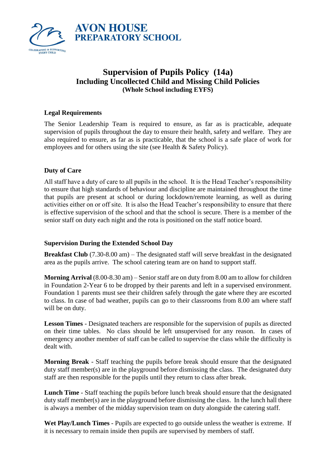

# **Supervision of Pupils Policy (14a) Including Uncollected Child and Missing Child Policies (Whole School including EYFS)**

# **Legal Requirements**

The Senior Leadership Team is required to ensure, as far as is practicable, adequate supervision of pupils throughout the day to ensure their health, safety and welfare. They are also required to ensure, as far as is practicable, that the school is a safe place of work for employees and for others using the site (see Health & Safety Policy).

#### **Duty of Care**

All staff have a duty of care to all pupils in the school. It is the Head Teacher's responsibility to ensure that high standards of behaviour and discipline are maintained throughout the time that pupils are present at school or during lockdown/remote learning, as well as during activities either on or off site. It is also the Head Teacher's responsibility to ensure that there is effective supervision of the school and that the school is secure. There is a member of the senior staff on duty each night and the rota is positioned on the staff notice board.

#### **Supervision During the Extended School Day**

**Breakfast Club** (7.30-8.00 am) – The designated staff will serve breakfast in the designated area as the pupils arrive. The school catering team are on hand to support staff.

**Morning Arrival** (8.00-8.30 am) – Senior staff are on duty from 8.00 am to allow for children in Foundation 2-Year 6 to be dropped by their parents and left in a supervised environment. Foundation 1 parents must see their children safely through the gate where they are escorted to class. In case of bad weather, pupils can go to their classrooms from 8.00 am where staff will be on duty.

**Lesson Times** - Designated teachers are responsible for the supervision of pupils as directed on their time tables. No class should be left unsupervised for any reason. In cases of emergency another member of staff can be called to supervise the class while the difficulty is dealt with.

**Morning Break** - Staff teaching the pupils before break should ensure that the designated duty staff member(s) are in the playground before dismissing the class. The designated duty staff are then responsible for the pupils until they return to class after break.

**Lunch Time** - Staff teaching the pupils before lunch break should ensure that the designated duty staff member(s) are in the playground before dismissing the class. In the lunch hall there is always a member of the midday supervision team on duty alongside the catering staff.

**Wet Play/Lunch Times** - Pupils are expected to go outside unless the weather is extreme. If it is necessary to remain inside then pupils are supervised by members of staff.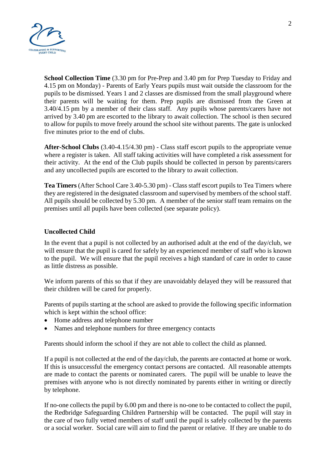

**School Collection Time** (3.30 pm for Pre-Prep and 3.40 pm for Prep Tuesday to Friday and 4.15 pm on Monday) - Parents of Early Years pupils must wait outside the classroom for the pupils to be dismissed. Years 1 and 2 classes are dismissed from the small playground where their parents will be waiting for them. Prep pupils are dismissed from the Green at 3.40/4.15 pm by a member of their class staff. Any pupils whose parents/carers have not arrived by 3.40 pm are escorted to the library to await collection. The school is then secured to allow for pupils to move freely around the school site without parents. The gate is unlocked five minutes prior to the end of clubs.

**After-School Clubs** (3.40-4.15/4.30 pm) - Class staff escort pupils to the appropriate venue where a register is taken. All staff taking activities will have completed a risk assessment for their activity. At the end of the Club pupils should be collected in person by parents/carers and any uncollected pupils are escorted to the library to await collection.

**Tea Timers** (After School Care 3.40-5.30 pm) - Class staff escort pupils to Tea Timers where they are registered in the designated classroom and supervised by members of the school staff. All pupils should be collected by 5.30 pm. A member of the senior staff team remains on the premises until all pupils have been collected (see separate policy).

## **Uncollected Child**

In the event that a pupil is not collected by an authorised adult at the end of the day/club, we will ensure that the pupil is cared for safely by an experienced member of staff who is known to the pupil. We will ensure that the pupil receives a high standard of care in order to cause as little distress as possible.

We inform parents of this so that if they are unavoidably delayed they will be reassured that their children will be cared for properly.

Parents of pupils starting at the school are asked to provide the following specific information which is kept within the school office:

- Home address and telephone number
- Names and telephone numbers for three emergency contacts

Parents should inform the school if they are not able to collect the child as planned.

If a pupil is not collected at the end of the day/club, the parents are contacted at home or work. If this is unsuccessful the emergency contact persons are contacted. All reasonable attempts are made to contact the parents or nominated carers. The pupil will be unable to leave the premises with anyone who is not directly nominated by parents either in writing or directly by telephone.

If no-one collects the pupil by 6.00 pm and there is no-one to be contacted to collect the pupil, the Redbridge Safeguarding Children Partnership will be contacted. The pupil will stay in the care of two fully vetted members of staff until the pupil is safely collected by the parents or a social worker. Social care will aim to find the parent or relative. If they are unable to do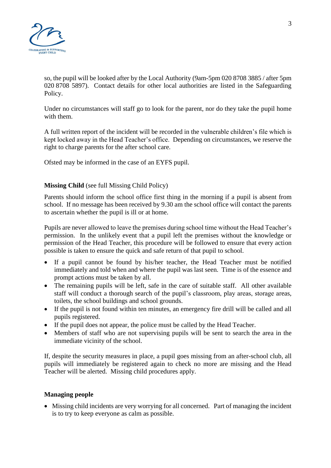

so, the pupil will be looked after by the Local Authority (9am-5pm 020 8708 3885 / after 5pm 020 8708 5897). Contact details for other local authorities are listed in the Safeguarding Policy.

Under no circumstances will staff go to look for the parent, nor do they take the pupil home with them.

A full written report of the incident will be recorded in the vulnerable children's file which is kept locked away in the Head Teacher's office. Depending on circumstances, we reserve the right to charge parents for the after school care.

Ofsted may be informed in the case of an EYFS pupil.

## **Missing Child** (see full Missing Child Policy)

Parents should inform the school office first thing in the morning if a pupil is absent from school. If no message has been received by 9.30 am the school office will contact the parents to ascertain whether the pupil is ill or at home.

Pupils are never allowed to leave the premises during school time without the Head Teacher's permission. In the unlikely event that a pupil left the premises without the knowledge or permission of the Head Teacher, this procedure will be followed to ensure that every action possible is taken to ensure the quick and safe return of that pupil to school.

- If a pupil cannot be found by his/her teacher, the Head Teacher must be notified immediately and told when and where the pupil was last seen. Time is of the essence and prompt actions must be taken by all.
- The remaining pupils will be left, safe in the care of suitable staff. All other available staff will conduct a thorough search of the pupil's classroom, play areas, storage areas, toilets, the school buildings and school grounds.
- If the pupil is not found within ten minutes, an emergency fire drill will be called and all pupils registered.
- If the pupil does not appear, the police must be called by the Head Teacher.
- Members of staff who are not supervising pupils will be sent to search the area in the immediate vicinity of the school.

If, despite the security measures in place, a pupil goes missing from an after-school club, all pupils will immediately be registered again to check no more are missing and the Head Teacher will be alerted. Missing child procedures apply.

#### **Managing people**

 Missing child incidents are very worrying for all concerned. Part of managing the incident is to try to keep everyone as calm as possible.